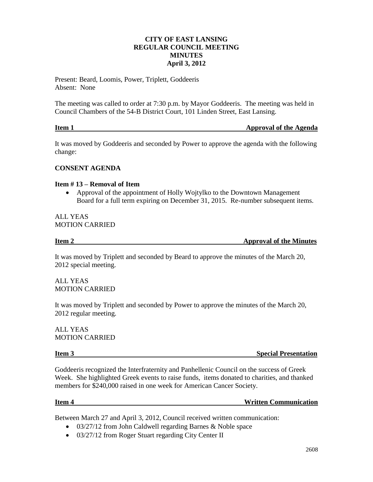## **CITY OF EAST LANSING REGULAR COUNCIL MEETING MINUTES April 3, 2012**

Present: Beard, Loomis, Power, Triplett, Goddeeris Absent: None

The meeting was called to order at 7:30 p.m. by Mayor Goddeeris. The meeting was held in Council Chambers of the 54-B District Court, 101 Linden Street, East Lansing.

| Item 1 | <b>Approval of the Agenda</b> |
|--------|-------------------------------|
|        |                               |

It was moved by Goddeeris and seconded by Power to approve the agenda with the following change:

## **CONSENT AGENDA**

### **Item # 13 – Removal of Item**

 Approval of the appointment of Holly Wojtylko to the Downtown Management Board for a full term expiring on December 31, 2015. Re-number subsequent items.

### ALL YEAS MOTION CARRIED

**Item 2** Approval of the Minutes

It was moved by Triplett and seconded by Beard to approve the minutes of the March 20, 2012 special meeting.

ALL YEAS MOTION CARRIED

It was moved by Triplett and seconded by Power to approve the minutes of the March 20, 2012 regular meeting.

ALL YEAS MOTION CARRIED

**Item 3** Special Presentation

Goddeeris recognized the Interfraternity and Panhellenic Council on the success of Greek Week. She highlighted Greek events to raise funds, items donated to charities, and thanked members for \$240,000 raised in one week for American Cancer Society.

### **Item 4** Written Communication

Between March 27 and April 3, 2012, Council received written communication:

- 03/27/12 from John Caldwell regarding Barnes & Noble space
- 03/27/12 from Roger Stuart regarding City Center II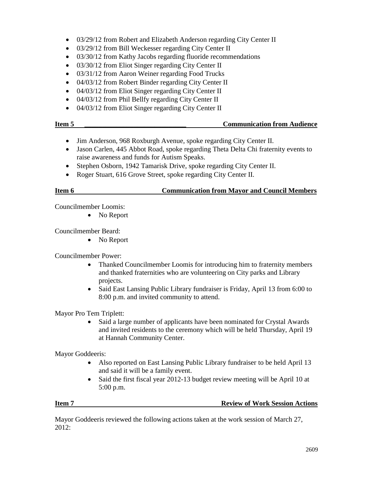- 03/29/12 from Robert and Elizabeth Anderson regarding City Center II
- 03/29/12 from Bill Weckesser regarding City Center II
- 03/30/12 from Kathy Jacobs regarding fluoride recommendations
- 03/30/12 from Eliot Singer regarding City Center II
- 03/31/12 from Aaron Weiner regarding Food Trucks
- 04/03/12 from Robert Binder regarding City Center II
- 04/03/12 from Eliot Singer regarding City Center II
- 04/03/12 from Phil Bellfy regarding City Center II
- 04/03/12 from Eliot Singer regarding City Center II

- Jim Anderson, 968 Roxburgh Avenue, spoke regarding City Center II.
- Jason Carlen, 445 Abbot Road, spoke regarding Theta Delta Chi fraternity events to raise awareness and funds for Autism Speaks.
- Stephen Osborn, 1942 Tamarisk Drive, spoke regarding City Center II.
- Roger Stuart, 616 Grove Street, spoke regarding City Center II.

## **Item 6 Communication from Mayor and Council Members**

Councilmember Loomis:

• No Report

Councilmember Beard:

• No Report

Councilmember Power:

- Thanked Councilmember Loomis for introducing him to fraternity members and thanked fraternities who are volunteering on City parks and Library projects.
- Said East Lansing Public Library fundraiser is Friday, April 13 from 6:00 to 8:00 p.m. and invited community to attend.

Mayor Pro Tem Triplett:

 Said a large number of applicants have been nominated for Crystal Awards and invited residents to the ceremony which will be held Thursday, April 19 at Hannah Community Center.

Mayor Goddeeris:

- Also reported on East Lansing Public Library fundraiser to be held April 13 and said it will be a family event.
- Said the first fiscal year 2012-13 budget review meeting will be April 10 at 5:00 p.m.

### **Item 7 Review of Work Session Actions**

Mayor Goddeeris reviewed the following actions taken at the work session of March 27, 2012: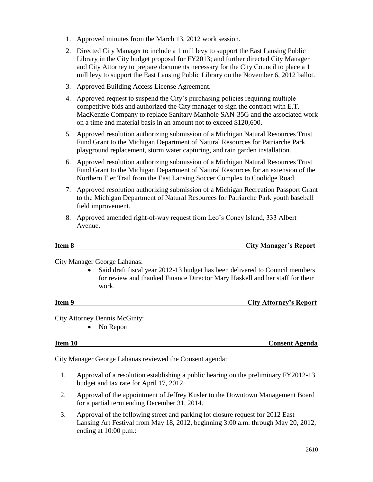- 1. Approved minutes from the March 13, 2012 work session.
- 2. Directed City Manager to include a 1 mill levy to support the East Lansing Public Library in the City budget proposal for FY2013; and further directed City Manager and City Attorney to prepare documents necessary for the City Council to place a 1 mill levy to support the East Lansing Public Library on the November 6, 2012 ballot.
- 3. Approved Building Access License Agreement.
- 4. Approved request to suspend the City's purchasing policies requiring multiple competitive bids and authorized the City manager to sign the contract with E.T. MacKenzie Company to replace Sanitary Manhole SAN-35G and the associated work on a time and material basis in an amount not to exceed \$120,600.
- 5. Approved resolution authorizing submission of a Michigan Natural Resources Trust Fund Grant to the Michigan Department of Natural Resources for Patriarche Park playground replacement, storm water capturing, and rain garden installation.
- 6. Approved resolution authorizing submission of a Michigan Natural Resources Trust Fund Grant to the Michigan Department of Natural Resources for an extension of the Northern Tier Trail from the East Lansing Soccer Complex to Coolidge Road.
- 7. Approved resolution authorizing submission of a Michigan Recreation Passport Grant to the Michigan Department of Natural Resources for Patriarche Park youth baseball field improvement.
- 8. Approved amended right-of-way request from Leo's Coney Island, 333 Albert Avenue.

**Item 8** City Manager's Report

City Manager George Lahanas:

• Said draft fiscal year 2012-13 budget has been delivered to Council members for review and thanked Finance Director Mary Haskell and her staff for their work.

**Item 9 City Attorney's Report** 

City Attorney Dennis McGinty:

• No Report

**Item 10 Consent Agenda**

City Manager George Lahanas reviewed the Consent agenda:

- 1. Approval of a resolution establishing a public hearing on the preliminary FY2012-13 budget and tax rate for April 17, 2012.
- 2. Approval of the appointment of Jeffrey Kusler to the Downtown Management Board for a partial term ending December 31, 2014.
- 3. Approval of the following street and parking lot closure request for 2012 East Lansing Art Festival from May 18, 2012, beginning 3:00 a.m. through May 20, 2012, ending at 10:00 p.m.: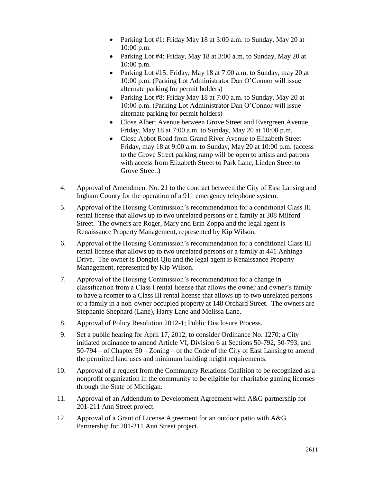- Parking Lot #1: Friday May 18 at 3:00 a.m. to Sunday, May 20 at 10:00 p.m.
- Parking Lot #4: Friday, May 18 at 3:00 a.m. to Sunday, May 20 at 10:00 p.m.
- Parking Lot #15: Friday, May 18 at 7:00 a.m. to Sunday, may 20 at 10:00 p.m. (Parking Lot Administrator Dan O'Connor will issue alternate parking for permit holders)
- Parking Lot #8: Friday May 18 at 7:00 a.m. to Sunday, May 20 at 10:00 p.m. (Parking Lot Administrator Dan O'Connor will issue alternate parking for permit holders)
- Close Albert Avenue between Grove Street and Evergreen Avenue Friday, May 18 at 7:00 a.m. to Sunday, May 20 at 10:00 p.m.
- Close Abbot Road from Grand River Avenue to Elizabeth Street Friday, may 18 at 9:00 a.m. to Sunday, May 20 at 10:00 p.m. (access to the Grove Street parking ramp will be open to artists and patrons with access from Elizabeth Street to Park Lane, Linden Street to Grove Street.)
- 4. Approval of Amendment No. 21 to the contract between the City of East Lansing and Ingham County for the operation of a 911 emergency telephone system.
- 5. Approval of the Housing Commission's recommendation for a conditional Class III rental license that allows up to two unrelated persons or a family at 308 Milford Street. The owners are Roger, Mary and Erin Zoppa and the legal agent is Renaissance Property Management, represented by Kip Wilson.
- 6. Approval of the Housing Commission's recommendation for a conditional Class III rental license that allows up to two unrelated persons or a family at 441 Anhinga Drive. The owner is Donglei Qiu and the legal agent is Renaissance Property Management, represented by Kip Wilson.
- 7. Approval of the Housing Commission's recommendation for a change in classification from a Class I rental license that allows the owner and owner's family to have a roomer to a Class III rental license that allows up to two unrelated persons or a family in a non-owner occupied property at 148 Orchard Street. The owners are Stephanie Shephard (Lane), Harry Lane and Melissa Lane.
- 8. Approval of Policy Resolution 2012-1; Public Disclosure Process.
- 9. Set a public hearing for April 17, 2012, to consider Ordinance No. 1270; a City initiated ordinance to amend Article VI, Division 6 at Sections 50-792, 50-793, and 50-794 – of Chapter 50 – Zoning – of the Code of the City of East Lansing to amend the permitted land uses and minimum building height requirements.
- 10. Approval of a request from the Community Relations Coalition to be recognized as a nonprofit organization in the community to be eligible for charitable gaming licenses through the State of Michigan.
- 11. Approval of an Addendum to Development Agreement with A&G partnership for 201-211 Ann Street project.
- 12. Approval of a Grant of License Agreement for an outdoor patio with A&G Partnership for 201-211 Ann Street project.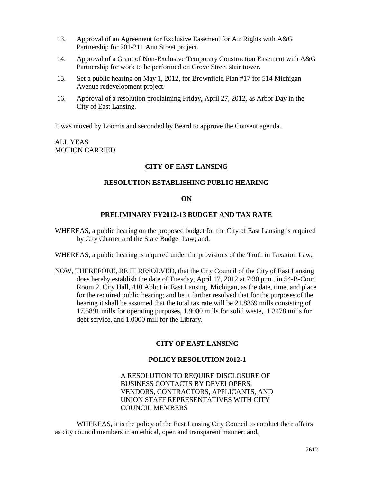- 13. Approval of an Agreement for Exclusive Easement for Air Rights with A&G Partnership for 201-211 Ann Street project.
- 14. Approval of a Grant of Non-Exclusive Temporary Construction Easement with A&G Partnership for work to be performed on Grove Street stair tower.
- 15. Set a public hearing on May 1, 2012, for Brownfield Plan #17 for 514 Michigan Avenue redevelopment project.
- 16. Approval of a resolution proclaiming Friday, April 27, 2012, as Arbor Day in the City of East Lansing.

It was moved by Loomis and seconded by Beard to approve the Consent agenda.

## ALL YEAS MOTION CARRIED

## **CITY OF EAST LANSING**

## **RESOLUTION ESTABLISHING PUBLIC HEARING**

### **ON**

### **PRELIMINARY FY2012-13 BUDGET AND TAX RATE**

- WHEREAS, a public hearing on the proposed budget for the City of East Lansing is required by City Charter and the State Budget Law; and,
- WHEREAS, a public hearing is required under the provisions of the Truth in Taxation Law;
- NOW, THEREFORE, BE IT RESOLVED, that the City Council of the City of East Lansing does hereby establish the date of Tuesday, April 17, 2012 at 7:30 p.m., in 54-B-Court Room 2, City Hall, 410 Abbot in East Lansing, Michigan, as the date, time, and place for the required public hearing; and be it further resolved that for the purposes of the hearing it shall be assumed that the total tax rate will be 21.8369 mills consisting of 17.5891 mills for operating purposes, 1.9000 mills for solid waste, 1.3478 mills for debt service, and 1.0000 mill for the Library.

### **CITY OF EAST LANSING**

## **POLICY RESOLUTION 2012-1**

## A RESOLUTION TO REQUIRE DISCLOSURE OF BUSINESS CONTACTS BY DEVELOPERS, VENDORS, CONTRACTORS, APPLICANTS, AND UNION STAFF REPRESENTATIVES WITH CITY COUNCIL MEMBERS

WHEREAS, it is the policy of the East Lansing City Council to conduct their affairs as city council members in an ethical, open and transparent manner; and,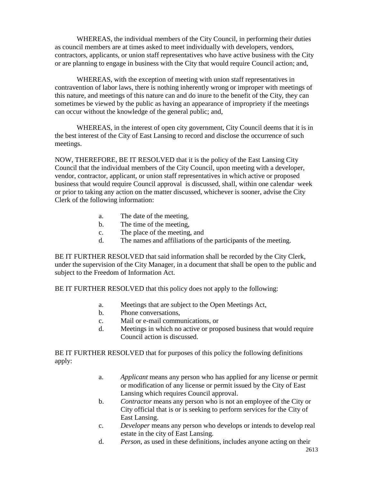WHEREAS, the individual members of the City Council, in performing their duties as council members are at times asked to meet individually with developers, vendors, contractors, applicants, or union staff representatives who have active business with the City or are planning to engage in business with the City that would require Council action; and,

WHEREAS, with the exception of meeting with union staff representatives in contravention of labor laws, there is nothing inherently wrong or improper with meetings of this nature, and meetings of this nature can and do inure to the benefit of the City, they can sometimes be viewed by the public as having an appearance of impropriety if the meetings can occur without the knowledge of the general public; and,

WHEREAS, in the interest of open city government, City Council deems that it is in the best interest of the City of East Lansing to record and disclose the occurrence of such meetings.

NOW, THEREFORE, BE IT RESOLVED that it is the policy of the East Lansing City Council that the individual members of the City Council, upon meeting with a developer, vendor, contractor, applicant, or union staff representatives in which active or proposed business that would require Council approval is discussed, shall, within one calendar week or prior to taking any action on the matter discussed, whichever is sooner, advise the City Clerk of the following information:

- a. The date of the meeting,
- b. The time of the meeting,
- c. The place of the meeting, and
- d. The names and affiliations of the participants of the meeting.

BE IT FURTHER RESOLVED that said information shall be recorded by the City Clerk, under the supervision of the City Manager, in a document that shall be open to the public and subject to the Freedom of Information Act.

BE IT FURTHER RESOLVED that this policy does not apply to the following:

- a. Meetings that are subject to the Open Meetings Act,
- b. Phone conversations,
- c. Mail or e-mail communications, or
- d. Meetings in which no active or proposed business that would require Council action is discussed.

BE IT FURTHER RESOLVED that for purposes of this policy the following definitions apply:

- a. *Applicant* means any person who has applied for any license or permit or modification of any license or permit issued by the City of East Lansing which requires Council approval.
- b. *Contractor* means any person who is not an employee of the City or City official that is or is seeking to perform services for the City of East Lansing.
- c. *Developer* means any person who develops or intends to develop real estate in the city of East Lansing.
- d. *Person*, as used in these definitions, includes anyone acting on their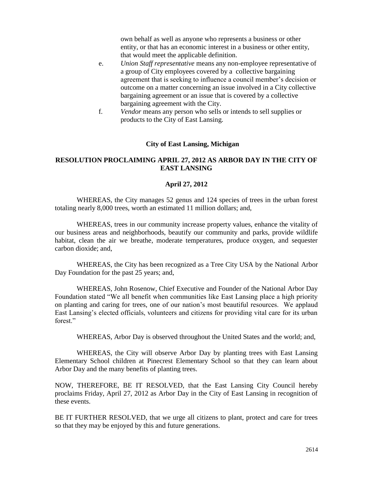own behalf as well as anyone who represents a business or other entity, or that has an economic interest in a business or other entity, that would meet the applicable definition.

- e. *Union Staff representative* means any non-employee representative of a group of City employees covered by a collective bargaining agreement that is seeking to influence a council member's decision or outcome on a matter concerning an issue involved in a City collective bargaining agreement or an issue that is covered by a collective bargaining agreement with the City.
- f. *Vendor* means any person who sells or intends to sell supplies or products to the City of East Lansing.

### **City of East Lansing, Michigan**

## **RESOLUTION PROCLAIMING APRIL 27, 2012 AS ARBOR DAY IN THE CITY OF EAST LANSING**

### **April 27, 2012**

WHEREAS, the City manages 52 genus and 124 species of trees in the urban forest totaling nearly 8,000 trees, worth an estimated 11 million dollars; and,

WHEREAS, trees in our community increase property values, enhance the vitality of our business areas and neighborhoods, beautify our community and parks, provide wildlife habitat, clean the air we breathe, moderate temperatures, produce oxygen, and sequester carbon dioxide; and,

WHEREAS, the City has been recognized as a Tree City USA by the National Arbor Day Foundation for the past 25 years; and,

WHEREAS, John Rosenow, Chief Executive and Founder of the National Arbor Day Foundation stated "We all benefit when communities like East Lansing place a high priority on planting and caring for trees, one of our nation's most beautiful resources. We applaud East Lansing's elected officials, volunteers and citizens for providing vital care for its urban forest."

WHEREAS, Arbor Day is observed throughout the United States and the world; and,

WHEREAS, the City will observe Arbor Day by planting trees with East Lansing Elementary School children at Pinecrest Elementary School so that they can learn about Arbor Day and the many benefits of planting trees.

NOW, THEREFORE, BE IT RESOLVED, that the East Lansing City Council hereby proclaims Friday, April 27, 2012 as Arbor Day in the City of East Lansing in recognition of these events.

BE IT FURTHER RESOLVED, that we urge all citizens to plant, protect and care for trees so that they may be enjoyed by this and future generations.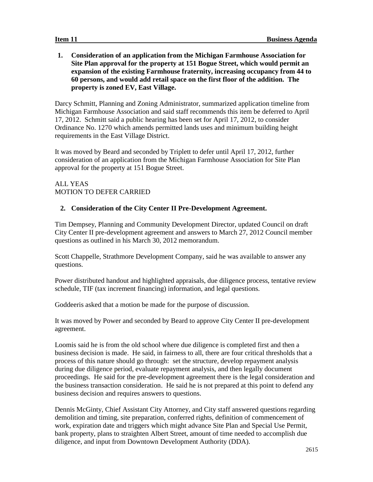**1. Consideration of an application from the Michigan Farmhouse Association for Site Plan approval for the property at 151 Bogue Street, which would permit an expansion of the existing Farmhouse fraternity, increasing occupancy from 44 to 60 persons, and would add retail space on the first floor of the addition. The property is zoned EV, East Village.**

Darcy Schmitt, Planning and Zoning Administrator, summarized application timeline from Michigan Farmhouse Association and said staff recommends this item be deferred to April 17, 2012. Schmitt said a public hearing has been set for April 17, 2012, to consider Ordinance No. 1270 which amends permitted lands uses and minimum building height requirements in the East Village District.

It was moved by Beard and seconded by Triplett to defer until April 17, 2012, further consideration of an application from the Michigan Farmhouse Association for Site Plan approval for the property at 151 Bogue Street.

ALL YEAS MOTION TO DEFER CARRIED

# **2. Consideration of the City Center II Pre-Development Agreement.**

Tim Dempsey, Planning and Community Development Director, updated Council on draft City Center II pre-development agreement and answers to March 27, 2012 Council member questions as outlined in his March 30, 2012 memorandum.

Scott Chappelle, Strathmore Development Company, said he was available to answer any questions.

Power distributed handout and highlighted appraisals, due diligence process, tentative review schedule, TIF (tax increment financing) information, and legal questions.

Goddeeris asked that a motion be made for the purpose of discussion.

It was moved by Power and seconded by Beard to approve City Center II pre-development agreement.

Loomis said he is from the old school where due diligence is completed first and then a business decision is made. He said, in fairness to all, there are four critical thresholds that a process of this nature should go through: set the structure, develop repayment analysis during due diligence period, evaluate repayment analysis, and then legally document proceedings. He said for the pre-development agreement there is the legal consideration and the business transaction consideration. He said he is not prepared at this point to defend any business decision and requires answers to questions.

Dennis McGinty, Chief Assistant City Attorney, and City staff answered questions regarding demolition and timing, site preparation, conferred rights, definition of commencement of work, expiration date and triggers which might advance Site Plan and Special Use Permit, bank property, plans to straighten Albert Street, amount of time needed to accomplish due diligence, and input from Downtown Development Authority (DDA).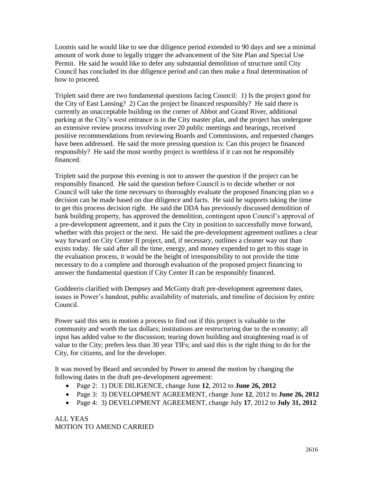Loomis said he would like to see due diligence period extended to 90 days and see a minimal amount of work done to legally trigger the advancement of the Site Plan and Special Use Permit. He said he would like to defer any substantial demolition of structure until City Council has concluded its due diligence period and can then make a final determination of how to proceed.

Triplett said there are two fundamental questions facing Council: 1) Is the project good for the City of East Lansing? 2) Can the project be financed responsibly? He said there is currently an unacceptable building on the corner of Abbot and Grand River, additional parking at the City's west entrance is in the City master plan, and the project has undergone an extensive review process involving over 20 public meetings and hearings, received positive recommendations from reviewing Boards and Commissions, and requested changes have been addressed. He said the more pressing question is: Can this project be financed responsibly? He said the most worthy project is worthless if it can not be responsibly financed.

Triplett said the purpose this evening is not to answer the question if the project can be responsibly financed. He said the question before Council is to decide whether or not Council will take the time necessary to thoroughly evaluate the proposed financing plan so a decision can be made based on due diligence and facts. He said he supports taking the time to get this process decision right. He said the DDA has previously discussed demolition of bank building property, has approved the demolition, contingent upon Council's approval of a pre-development agreement, and it puts the City in position to successfully move forward, whether with this project or the next. He said the pre-development agreement outlines a clear way forward on City Center II project, and, if necessary, outlines a cleaner way out than exists today. He said after all the time, energy, and money expended to get to this stage in the evaluation process, it would be the height of irresponsibility to not provide the time necessary to do a complete and thorough evaluation of the proposed project financing to answer the fundamental question if City Center II can be responsibly financed.

Goddeeris clarified with Dempsey and McGinty draft pre-development agreement dates, issues in Power's handout, public availability of materials, and timeline of decision by entire Council.

Power said this sets in motion a process to find out if this project is valuable to the community and worth the tax dollars; institutions are restructuring due to the economy; all input has added value to the discussion; tearing down building and straightening road is of value to the City; prefers less than 30 year TIFs; and said this is the right thing to do for the City, for citizens, and for the developer.

It was moved by Beard and seconded by Power to amend the motion by changing the following dates in the draft pre-development agreement:

- Page 2: 1) DUE DILIGENCE, change June **12**, 2012 to **June 26, 2012**
- Page 3: 3) DEVELOPMENT AGREEMENT, change June **12**, 2012 to **June 26, 2012**
- Page 4: 3) DEVELOPMENT AGREEMENT, change July **17**, 2012 to **July 31, 2012**

ALL YEAS MOTION TO AMEND CARRIED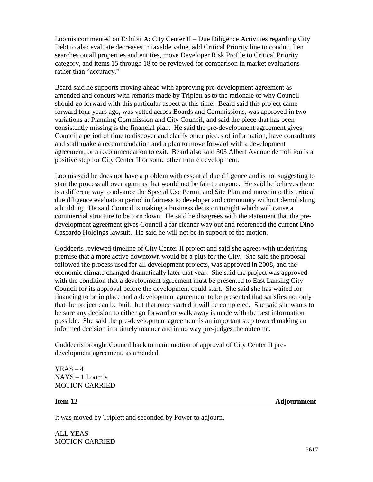Loomis commented on Exhibit A: City Center II – Due Diligence Activities regarding City Debt to also evaluate decreases in taxable value, add Critical Priority line to conduct lien searches on all properties and entities, move Developer Risk Profile to Critical Priority category, and items 15 through 18 to be reviewed for comparison in market evaluations rather than "accuracy."

Beard said he supports moving ahead with approving pre-development agreement as amended and concurs with remarks made by Triplett as to the rationale of why Council should go forward with this particular aspect at this time. Beard said this project came forward four years ago, was vetted across Boards and Commissions, was approved in two variations at Planning Commission and City Council, and said the piece that has been consistently missing is the financial plan. He said the pre-development agreement gives Council a period of time to discover and clarify other pieces of information, have consultants and staff make a recommendation and a plan to move forward with a development agreement, or a recommendation to exit. Beard also said 303 Albert Avenue demolition is a positive step for City Center II or some other future development.

Loomis said he does not have a problem with essential due diligence and is not suggesting to start the process all over again as that would not be fair to anyone. He said he believes there is a different way to advance the Special Use Permit and Site Plan and move into this critical due diligence evaluation period in fairness to developer and community without demolishing a building. He said Council is making a business decision tonight which will cause a commercial structure to be torn down. He said he disagrees with the statement that the predevelopment agreement gives Council a far cleaner way out and referenced the current Dino Cascardo Holdings lawsuit. He said he will not be in support of the motion.

Goddeeris reviewed timeline of City Center II project and said she agrees with underlying premise that a more active downtown would be a plus for the City. She said the proposal followed the process used for all development projects, was approved in 2008, and the economic climate changed dramatically later that year. She said the project was approved with the condition that a development agreement must be presented to East Lansing City Council for its approval before the development could start. She said she has waited for financing to be in place and a development agreement to be presented that satisfies not only that the project can be built, but that once started it will be completed. She said she wants to be sure any decision to either go forward or walk away is made with the best information possible. She said the pre-development agreement is an important step toward making an informed decision in a timely manner and in no way pre-judges the outcome.

Goddeeris brought Council back to main motion of approval of City Center II predevelopment agreement, as amended.

 $YEAS - 4$ NAYS – 1 Loomis MOTION CARRIED

**Item 12** Adjournment

It was moved by Triplett and seconded by Power to adjourn.

ALL YEAS MOTION CARRIED